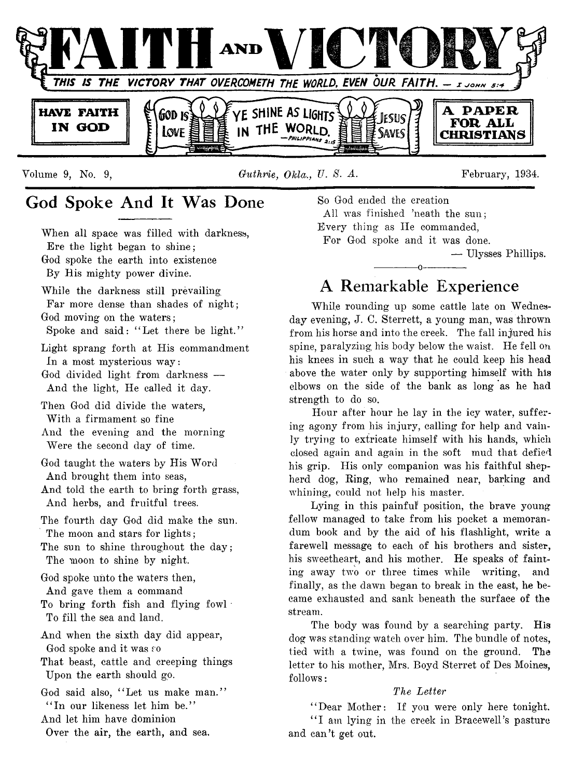

Volume 9, No. 9, *Guthrie, Okla., U. S. A.* **February, 1934.** 

## **God Spoke And It Was Done**

When all space was filled with darkness, Ere the light began to shine; God spoke the earth into existence By His mighty power divine.

While the darkness still prevailing Far more dense than shades of night; God moving on the waters ;

Spoke and said: "Let there be light."

Light sprang forth at His commandment In a most mysterious way:

God divided light from darkness — And the light, He called it day.

Then God did divide the waters, With a firmament so fine

And the evening and the morning Were the second day of time.

God taught the waters by His Word And brought them into seas,

And told the earth to bring forth grass, And herbs, and fruitful trees.

The fourth day God did make the sun. The moon and stars for lights; The sun to shine throughout the day;

The moon to shine by night.

God spoke unto the waters then, And gave them a command

To bring forth fish and flying fowl

To fill the sea and land.

And when the sixth day did appear, God spoke and it was so

That beast, cattle and creeping things Upon the earth should go.

God said also, "Let us make man." "In our likeness let him be." And let him have dominion Over the air, the earth, and sea.

So God ended the creation All was finished 'neath the sun; Every thing as He commanded, For God spoke and it was done. — Ulysses Phillips. ------------- o-------------

## **A Remarkable Experience**

While rounding up some cattle late on Wednesday evening, J. C. Sterrett, a young man, was thrown from his horse and into the creek. The fall injured his spine, paralyzing his body below the waist. He fell on his knees in such a way that he could keep his head above the water only by supporting himself with his elbows on the side of the bank as long as he had strength to do so.

Hour after hour he lay in the icy water, suffering agony from his injury, calling for help and vainly trying to extricate himself with his hands, which closed again and again in the soft mud that defied his grip. His only companion was his faithful shepherd dog, Ring, who remained near, barking and whining, could not help his master.

Lying in this painful position, the brave young fellow managed to take from his pocket a memorandum book and by the aid of his flashlight, write a farewell message to each of his brothers and sister, his sweetheart, and his mother. He speaks of fainting away two or three times while writing, and finally, as the dawn began to break in the east, he became exhausted and sank beneath the surface of the stream.

The body was found by a searching party. His dog was standing watch over him. The bundle of notes, tied with a twine, was found on the ground. The letter to his mother, Mrs. Boyd Sterret of Des Moines, follows:

## *The Letter*

*'* ' Dear Mother: If you were only here tonight. "I am lying in the creek in Bracewell's pasture and can't get out.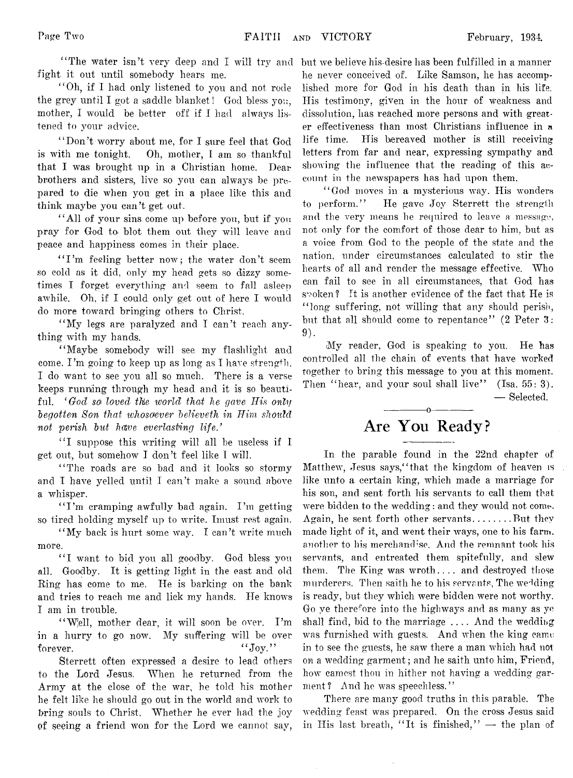fight it out until somebody hears me.

" Oh, if I had only listened to you and not rode the grey until I got a saddle blanket! God bless you, mother, I would be better off if I had always listened to your advice.

" Don't worry about me, for I sure feel that God is with me tonight. Oh, mother, I am so thankful that I was brought up in a Christian home. Dear brothers and sisters, live so you can always be prepared to die when you get in a place like this and think maybe you can't get out.

" All of your sins come up before you, but if you pray for God to. blot them out they will leave and peace and happiness comes in their place.

"I'm feeling better now; the water don't seem so cold as it did, only my head gets so dizzy sometimes I forget everything and seem to fall asleep awhile. Oh, if I could only get out of here I would do more toward bringing others to Christ.

"My legs are paralyzed and I can't reach anything with my hands.

"Maybe somebody will see my flashlight and come. I'm going to keep up as long as I have strength. I do want to see you all so much. There is a verse keeps running through my head and it is so beautiful. *' God so loved the world; that he gave His only begotten Son that whosoever believeth in Him should not perish but have everlasting life/*

"I suppose this writing will all be useless if I get out, but somehow I don't feel like I will.

"The roads are so bad and it looks so stormy and I have yelled until I can't make a sound above a whisper.

"I'm cramping awfully bad again. I'm getting so tired holding myself up to write. Imust rest again.

"My back is hurt some way. I can't write much more.

"I want to bid you all goodby. God bless you all. Goodby. It is getting light in the east and old Ring has come to me. He is barking on the bank and tries to reach me and lick my hands. He knows I am in trouble.

"Well, mother dear, it will soon be over. I'm in a hurry to go now. My suffering will be over forever. " $J_{0y}$ ."

Sterrett often expressed a desire to lead others to the Lord Jesus. When he returned from the Army at the close of the war, he told his mother he felt like he should go out in the world and work to bring souls to Christ. Whether he ever had the joy of seeing a friend won for the Lord we cannot sav,

" The water isn't very deep and I will try and but we believe his-desire has been fulfilled in a manner he never conceived of. Like Samson, he has accomplished more for God in his death than in his life. His testimony, given in the hour of weakness and dissolution, has reached more persons and with greater effectiveness than most Christians influence in a life time. His bereaved mother is still receiving letters from far and near, expressing sympathy and showing the influence that the reading of this account in the newspapers has had upon them.

> " God moves in a mysterious way. His wonders to perform." He gave Joy Sterrett the strength and the very means he required to leave a message, not only for the comfort of those dear to him, but as a voice from God to the people of the state and the nation, under circumstances calculated to stir the hearts of all and render the message effective. Who can fail to see in all circumstances, that God has spoken? It is another evidence of the fact that He is "long suffering, not willing that any should perish, but that all should come to repentance" (2 Peter 3:  $9$ .

> My reader, God is speaking to you. He has controlled all the chain of events that have worked together to bring this message to you at this moment. Then "hear, and your soul shall live"  $(Isa. 55: 3)$ . — Selected.

## **Are You Ready?**

------------- o-------------

In the parable found in the 22nd chapter of Matthew, Jesus says, 'that the kingdom of heaven is like unto a certain king, which made a marriage for his son, and sent forth his servants to call them that were bidden to the wedding: and they would not come. Again, he sent forth other servants.........But they made light of it, and went their ways, one to his farm, another to his merchandise. And the remnant took his servants, and entreated them spitefully, and slew them. The King was wroth.... and destroyed those murderers. Then saith he to his servants, The wedding is ready, but they which were bidden were not worthy. Go ye therefore into the highways and as many as ye shall find, bid to the marriage .... And the wedding was furnished with guests. And when the king came in to see the guests, he saw there a man which had not on a wedding garment; and he saith unto him, Friend, how camest thou in hither not having a wedding garment? And he was speechless."

There are many good truths in this parable. The wedding feast was prepared. On the cross Jesus said in His last breath, "It is finished,"  $-$  the plan of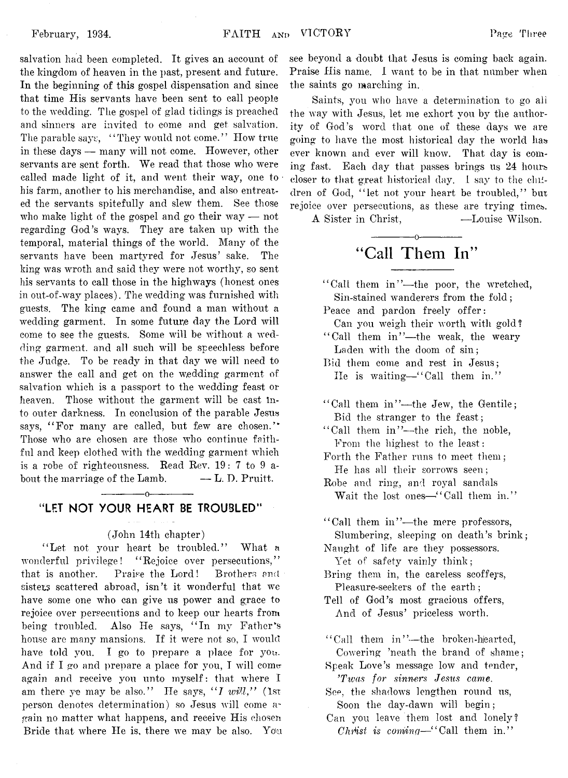salvation had been completed. It gives an account of the kingdom of heaven in the past, present and future. In the beginning of this gospel dispensation and since that time His servants have been sent to call people to the wedding. The gospel of glad tidings is preached and sinners are invited to come and get salvation. The parable says, "They would not come." How true in these days — many will not come. However, other servants are sent forth. We read that those who were called made light of it, and went their way, one to his farm, another to his merchandise, and also entreated the servants spitefully and slew them. See those who make light of the gospel and go their way — not regarding God's ways. They are taken up with the temporal, material things of the world. Many of the servants have been martyred for Jesus' sake. The king was wroth and said they were not worthy, so sent his servants to call those in the highways (honest ones in out-of-way places). The wedding was furnished with guests. The king came and found a man without a wedding garment. In some future day the Lord will come to see the guests. Some will be without a wedding garment, and all such will be speechless before the Judge. To be ready in that day we will need to answer the call and get on the wedding garment of salvation which is a passport to the wedding feast or heaven. Those without the garment will be cast Into outer darkness. In conclusion of the parable Jesus says, "For many are called, but few are chosen." Those who are chosen are those who continue faithful and keep clothed with the wedding garment which is a robe of righteousness. Read Rev. 19: 7 to 9 about the marriage of the Lamb.  $\qquad -L$ . D. Pruitt.

## ------------- o------------- **"LET NOT YOUR HEART BE TROUBLED"**

#### (John 14th chapter)

"Let not your heart be troubled." What a wonderful privilege! "Rejoice over persecutions," that is another. Praise the Lord! Brothers and sisters scattered abroad, isn't it wonderful that we have some one who can give us power and grace to rejoice over persecutions and to keep our hearts from being troubled. Also He says, "In my Father's house are many mansions. If it were not so, I would have told you. I go to prepare a place for you. And if I go and prepare a place for you, I will come\* again and receive you unto myself: that where I am there ye may be also." He says, "*I will*," (1st person denotes determination) so Jesus will come gain no matter what happens, and receive His chosen Bride that where He is, there we may be also. You

see beyond a doubt that Jesus is coming back again. Praise His name. 1 want to be in that number when the saints go marching in.

Saints, you who have a determination to go all the way with Jesus, let me exhort you by the authority of God's word that one of these days we are going to have the most historical day the world has ever known and ever will know. That day is coming fast. Each day that passes brings us 24 hours closer to that great historical day. 1 say to the children of God, "let not your heart be troubled," but rejoice over persecutions, as these are trying times.

A Sister in Christ, — Louise Wilson.

## ------------- o------------- **"Call Them In"**

- " Call them in"—the poor, the wretched, Sin-stained wanderers from the fold ; Peace and pardon freely offer:
- Can you weigh their worth with gold? "Call them in"-the weak, the weary

Laden with the doom of sin; Bid them come and rest in Jesus;

He is waiting—" Call them in."

- " Call them in"--the Jew, the Gentile; Bid the stranger to the feast;
- "Call them in"--the rich, the noble, From the highest to the least:
- Forth the Father runs to meet them; He has all their sorrows seen;

Robe and ring, and royal sandals Wait the lost ones—"Call them in."

"Call them in"-the mere professors, Slumbering, sleeping on death's brink; Naught of life are they possessors.

Yet of safety vainly think;

- Bring them in, the careless scoffers, Pleasure-seekers of the earth ;
- Tell of God's most gracious offers, And of Jesus' priceless worth.
- " Call them in"—the broken-hearted, Cowering 'neath the brand of shame;
- Speak Love's message low and tender, *7Twas for sinners Jesus came.*

See, the shadows lengthen round us, Soon the day-dawn will begin;

Can you leave them lost and lonely? *Christ is coming*—" Call them in."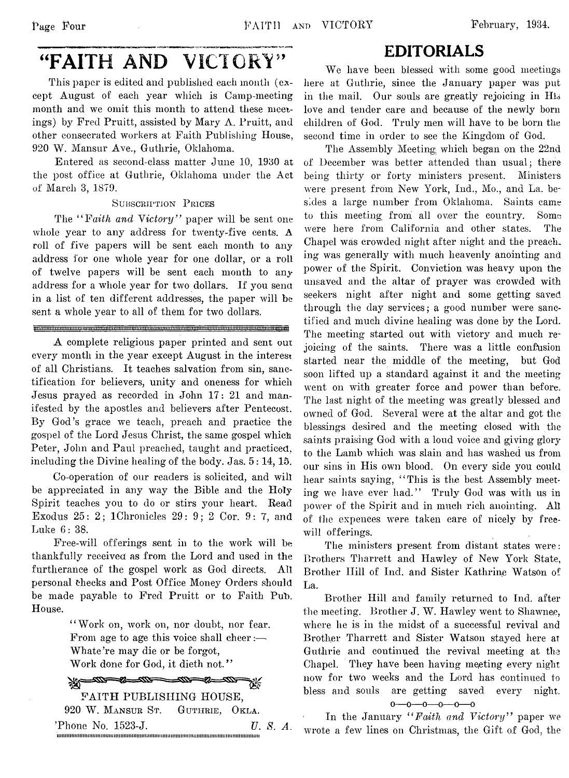## EDITORIALS

## "FAITH AND VICTORY"

This paper is edited and published each month (except August of each year which is Camp-meeting month and we omit this month to attend these meetings) by Fred Pruitt, assisted by Mary A. Pruitt, and other consecrated workers at Faith Publishing House, 920 W. Mansur Ave., Guthrie, Oklahoma.

Entered as second-class matter June 10, 1930 at the post office at Guthrie, Oklahoma under the Act of March 3, 1879.

#### **Subscription Prices**

The "Faith and Victory" paper will be sent one whole year to any address for twenty-five cents. A roll of five papers will be sent each month to any address for one whole year for one dollar, or a roll of twelve papers will be sent each month to any address for a whole year for two dollars. If you sena in a list of ten different addresses, the paper will be sent a whole year to all of them for two dollars.

<u>intoninan manang manang manang manang manang manang manang manang manang manang manang manang ma</u>

A complete religious paper printed and sent out every month in the year except August in the interest of all Christians. It teaches salvation from sin, sanctification for believers, unity and oneness for which Jesus prayed as recorded in John 17: 21 and manifested by the apostles and believers after Pentecost. By God's grace we teach, preach and practice the gospel of the Lord Jesus Christ, the same gospel which Peter, John and Paul preached, taught and practiced, including the Divine healing of the body. Jas. 5: 14,15.

Co-operation of our readers is solicited, and will be appreciated in any way the Bible and the Holy Spirit teaches you to do or stirs your heart. Read Exodus *25: 2;* IChronicles 29: 9; 2 Cor. 9: 7, and Luke 6: 38.

Free-will offerings sent in to the work will be thankfully received as from the Lord and used in the furtherance of the gospel work as God directs. All personal Cheeks and Post Office Money Orders should be made payable to Fred Pruitt or to Faith Pub. House.

> 4' Work on, work on, nor doubt, nor fear. From age to age this voice shall cheer:— Whate're may die or be forgot, Work done for God, it dieth not."

<u>-110 - 110 - 12</u> Ж., FAITH PUBLISHING HOUSE, 920 W. **Mansur St. Guthrie,** Okla. 'Phone No. 1523-J. *U. S. A.* imiiiiiiiiiimiiiiiiiiiiiimiiiiiiiiimimimiimimiiiimiiimiiiiiiiiiiiiiimiimiiimiiiimiimmiiiiiiii

We have been blessed with some good meetings here at Guthrie, since the January paper was put in the mail. Our souls are greatly rejoicing in His love and tender care and because of the newly born children of God. Truly men will have to be born the second time in order to see the Kingdom of God.

The Assembly Meeting which began on the 22nd of December was better attended than usual; there being thirty or forty ministers present. Ministers were present from New York, Ind., Mo., and La. besides a large number from Oklahoma. Saints came to this meeting from all over the country. Some were here from California and other states. The Chapel was crowded night after night and the preach, ing was generally with much heavenly anointing and power of the Spirit. Conviction was heavy upon the unsaved and the altar of prayer was crowded with seekers night after night and some getting saved through the day services; a good number were sanctified and much divine healing was done by the Lord. The meeting started out with victory and much rejoicing of the saints. There was a little contusion started near the middle of the meeting, but God soon lifted up a standard against it and the meeting went on with greater force and power than before. The last night of the meeting was greatly blessed and owned of God. Several were at the altar and got the blessings desired and the meeting closed with the saints praising God with a loud voice and giving glory to the Lamb which was slain and has washed us from our sins in His own blood. On every side you could hear saints saying, "This is the best Assembly meeting we have ever had." Truly God was with us in power of the Spirit and in much rich anointing. All of the expences were taken care of nicely by freewill offerings.

The ministers present from distant states were: Brothers Tharrett and Hawley of New York State, Brother Hill of Ind. and Sister Kathrine Watson of La.

Brother Hill and family returned to Ind. after the meeting. Brother J. W. Hawley went to Shawnee, where he is in the midst of a successful revival and Brother Tharrett and Sister Watson stayed here at Guthrie and continued the revival meeting at the Chapel. They have been having meeting every night now for two weeks and the Lord has continued to bless and souls are getting saved every night,

**o— o— o— o— o— o**

In the January *" Fadth and Victory* " paper we wrote a few lines on Christmas, the Gift of God, the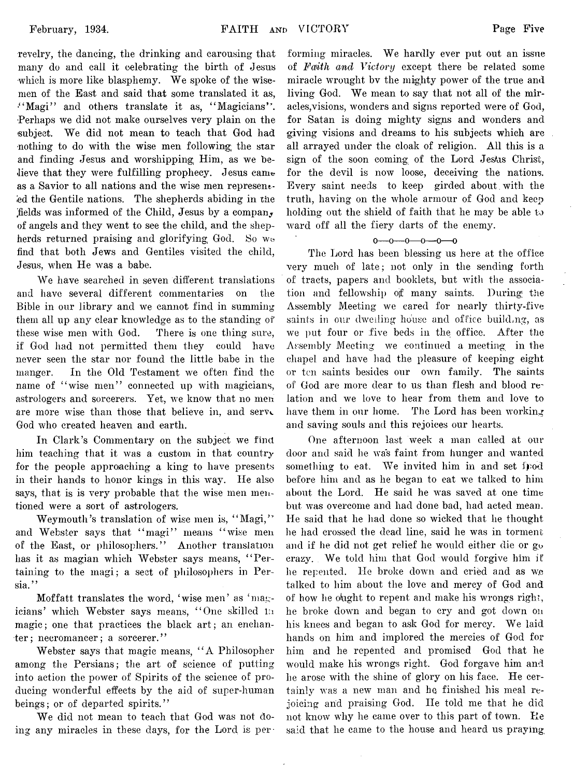revelry, the dancing, the drinking and carousing that many do and call it celebrating the birth of Jesus which is more like blasphemy. We spoke of the wisemen of the East and said that some translated it as, "Magi" and others translate it as, "Magicians". •Perhaps we did not make ourselves very plain on the subject. We did not mean to teach that God had nothing to do with the wise men following; the star and finding Jesus and worshipping Him, as we believe that they were fulfilling prophecy. Jesus came as a Savior to all nations and the wise men represented the Gentile nations. The shepherds abiding in the ^fields was informed of the Child, Jesus by a company of angels and they went to see the child, and the shepherds returned praising and glorifying God. So we find that both Jews and Gentiles visited the child, Jesus, when He was a babe.

We have searched in seven different translations and have several different commentaries on the Bible in our library and we cannot find in summing them all up any clear knowledge as to the standing of these wise men with God. There is one thing sure, if God had not permitted them they could have never seen the star nor found the little babe in the manger. In the Old Testament we often find the name of "wise men" connected up with magicians, astrologers and sorcerers. Yet, we know that no men are more wise than those that believe in, and serve God who created heaven and earth.

In Clark's Commentary on the subject we find, him teaching that it was a custom in that country for the people approaching a king to have presents in their hands to honor kings in this way. He also says, that is is very probable that the wise men mentioned were a sort of astrologers.

Weymouth's translation of wise men is, "Magi," and Webster says that "magi" means "wise men of the East, or philosophers." Another translation has it as magian which Webster says means, "Pertaining to the magi; a sect of philosophers in Persia.''

Moffatt translates the word, 'wise men' as 'magicians' which Webster says means, " One skilled in magic; one that practices the black art; an enchanter; necromancer; a sorcerer."

Webster says that magic means, " A Philosopher among the Persians; the art of science of putting into action the power of Spirits of the science of producing wonderful effects by the aid of super-human beings; or of departed spirits."

We did not mean to teach that God was not doing any miracles in these days, for the Lord is per-

forming miracles. We hardly ever put out an issue of *Faith and Victory* except there be related some miracle wrought bv the mighty power of the true and living God. We mean to say that not all of the miracles,visions, wonders and signs reported were of God, for Satan is doing mighty signs and wonders and giving visions and dreams to his subjects which are all arrayed under the cloak of religion. All this is a sign of the soon coming of the Lord Jestos Christ, for the devil is now loose, deceiving the nations. Every saint needs to keep girded about. with the truth, having on the whole armour of God and keep holding out the shield of faith that he may be able to ward off all the fiery darts of the enemy.

#### o— o— o— o— o— o

The Lord has been blessing us here at the office very much of late; not only in the sending forth of tracts, papers and booklets, but with the association and fellowship of many saints. During the Assembly Meeting we cared for nearly thirty-five saints in our dwelling house and office building, as we put four or five beds in the office. After the Assembly Meeting we continued a meeting in the chapel and have had the pleasure of keeping eight or ten saints besides our own family. The saints of God are more dear to us than flesh and blood re~ lation and we love to hear from them and love to have them in our home. The Lord has been working and saving souls and this rejoices our hearts.

One afternoon last week a man called at our door and said he was faint from hunger and wanted something to eat. We invited him in and set fpod before him and as he began to eat we talked to him about the Lord. He said he was saved at one time but was overcome and had done bad, had acted mean. He said that he had done so wicked that he thought he had crossed the dead line, said he was in torment and if he did not get relief he would either die or go crazy. We told him that God would forgive him if he repented. He broke down and cried and as we talked to him about the love and mercy of God and of how he ought to repent and make his wrongs right, he broke down and began to cry and got down on his knees and began to ask God for mercy. We laid hands on him and implored the mercies of God for him and he repented and promised God that he would make his wrongs right. God forgave him and he arose with the shine of glory on his face. He certainly was a new man and he finished his meal rejoicing and praising God. He told me that he did not know why he came over to this part of town. He said that he came to the house and heard us praying.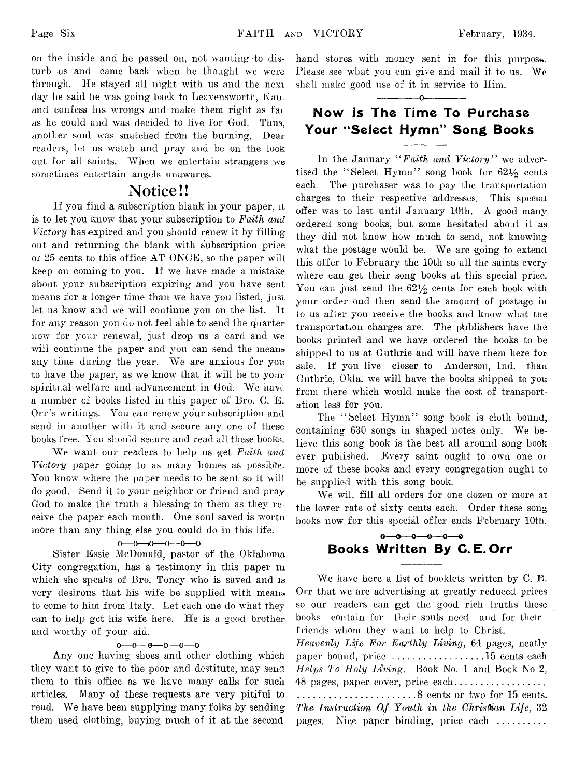on the inside and he passed on, not wanting to disturb us and came back when he thought we were through. He stayed all night with us and the next day he said he was going back to Leavensworth, Kan. and confess his wrongs and make them right as fai as he could and was decided to live for God. Thus, another soul was snatched frdm the burning. Dear readers, let us watch and pray and be on the look out for all saints. When we entertain strangers we sometimes entertain angels unawares. **Notice!!**

If you find a subscription blank in your paper, it is to let you know that your subscription to *Faith and Victory* has expired and you should renew it by filling out and returning the blank with subscription price or 25 cents to this office AT ONCE, so the paper will keep on coming to you. If we have made a mistake about your subscription expiring and you have sent means for a longer time than we have you listed, just let us know and we will continue you on the list. It for any reason you do not feel able to send the quarter now for your renewal, just drop us a card and we will continue the paper and you can send the means any time during the year. We are anxious for you to have the paper, as we know that it will be to your spiritual welfare and advancement in God. We have a number of books listed in this paper of Bro. C. E. Orr's writings. You can renew your subscription and send in another with it and secure any one of these books free. You should secure and read all these books.

We want our readers to help us get *Faith and Victory* paper going to as many homes as possible. You know where the paper needs to be sent so it will do good. Send it to your neighbor or friend and pray God to make the truth a blessing to them as they receive the paper each month. One soul saved is wortn more than any thing else you could do in this life,

#### o— o—*K)*— o— o— o

Sister Essie McDonald, pastor of the Oklahoma City congregation, has a testimony in this paper m which she speaks of Bro. Toney who is saved and is very desirous that his wife be supplied with meam. to come to him from Italy. Let each one do what they can to help get his wife here. He is a good brother and worthy of your aid.

#### $0 - 0 - 0 - 0 - 0$

Any one having shoes and other clothing which they want to give to the poor and destitute, may send them to this office as we have many calls for such articles. Many of these requests are very pitiful to read. We have been supplying many folks by sending them used clothing, buying much of it at the second

hand stores with money sent in for this purpose. Please see what you can give and mail it to us. We shall make good use of it in service to Him.

— -------- o--------------

## Now Is The Time To Purchase Your "Select Hymn" Song Books

In the January "Faith and Victory" we advertised the "Select Hymn" song book for  $62\frac{1}{2}$  cents each. The purchaser was to pay the transportation charges to their respective addresses. This special offer was to last until January 10th. A good many ordered song books, but some hesitated about it as they did not know how much to send, not knowing what the postage would be. We are going to extend this offer to February the 10th so all the saints every where can get their song books at this special price. You can just send the  $62\frac{1}{2}$  cents for each book with your order ond then send the amount of postage in to us after you receive the books and know what the transportation charges are. The publishers have the books printed and we have ordered the books to be shipped to us at Guthrie and will have them here for sale. If you live closer to Anderson, Ind. than Guthrie, Okia. we will have the books shipped to you from there which would make the cost of transportation less for you.

The "Select Hymn" song book is cloth bound, containing 630 songs in shaped notes only. We believe this song book is the best all around song book ever published. Every saint ought to own one or more of these books and every congregation ought to be supplied with this song book.

We will fill all orders for one dozen or more at the lower rate of sixty cents each. Order these song books now for this special offer ends February 10th.

## $0 - 0 - 0 - 0 - 0$ Books Written By C. E. Orr

We have here a list of booklets written by C. E. Orr that we are advertising at greatly reduced prices so our readers can get the good rich truths these books contain for their souls need and for their friends whom they want to help to Christ. *Heavenly Life For Earthly Living*, 64 pages, neatly paper bound, price ....................15 cents each *Helps To Holy Living.* Book No. 1 and Book No 2, 48 pages, paper cover, price each...................  $\ldots$ ............................8 cents or two for 15 cents. *The Instruction Of Youth in the Christian Life*, 32 pages. Nice paper binding, price each ..........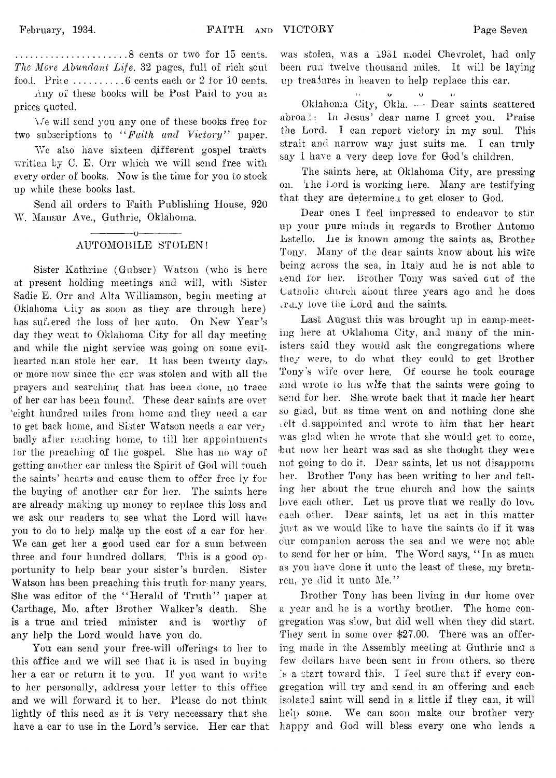...........................8 cents or two for 15 cents. *The More Abundant Life.* 32 pages, full of rich soul food. Price  $\dots\dots\dots6$  cents each or 2 for 10 cents.

Any of these books will be Post Paid to you *at* prices quoted.

Y/e will send you any one of these books free for two subscriptions to *" Faith and Victory*" paper.

We also have sixteen different gospel tracts written by C. E. Orr which we will send free with every order of books. Now is the time for you to stock up while these books last.

Send ail orders to Faith Publishing House, 920 W. Mansur Ave., Guthrie, Oklahoma.

#### ------------- o—---------- AUTOMOBILE STOLEN!

Sister Kathrine (Gubser) Watson (who is here at present holding meetings and will, with Sister Sadie E. Orr and Alta Williamson, begin meeting at Oklahoma City as soon as they are through here) has suffered the loss of her auto. On New Year's day they went to Oklahoma City for all day meeting and while the night service was going on some evilhearted man stole her car. Lt has been twenty days or more now since the car was stolen and with all the prayers and searching, that has been done, no trace of her ear has been found. These dear saints are over 'eight hundred miles from home and they need a car to get back home, and Sister Watson needs a car very badly after reaching home, to till her appointments ior the preaching of the gospel. She has no way of getting another car unless the Spirit of God will touch the saints' hearts and cause them to offer free ly for the buying of another car for her. The saints here are already making up money to replace this loss and we ask our readers to see what the Lord will have you to do to help make up the cost of a car for her. We can get her a good used car for a sum between three and four hundred dollars. This is a good opportunity to help bear your sister's burden. Sister Watson has been preaching this truth for-many years. She was editor of the "Herald of Truth" paper at Carthage, Mo. after Brother Walker's death. She is a true and tried minister and is worthy of any help the Lord would have you do.

You can send your free-will offerings to her to this office and we will see that it is used in buying her a car or return it to you. If you want to write to her personally, address your letter to this office and we will forward it to her. Please do not think lightly of this need as it is very necessary that she have a car to use in the Lord's service. Her car that was stolen, was a 1931 model Chevrolet, had only been run twelve thousand miles. It will be laying up treasures in heaven to help replace this car.

**•' ? O U U**

Okiahoma City, Okla. — Dear saints scattered abroad: In Jesus' dear name I greet you. Praise the Lord. I can report victory in my soul. This strait and narrow way just suits me. I can truly say 1 have a very deep love for God's children.

The saints here, at Oklahoma City, are pressing on. The Lord is working here. Many are testifying that they are determined to get closer to God.

Dear ones I feel impressed to endeavor to stir up your pure minds in regards to Brother Antonio Lstello. lie is known among the saints as, Brother Tony. Many of the dear saints know about his wife being across the sea, in Italy and he is not able to send for her. Brother Tony was saved out of the Catholic church about three years ago and he does i.TtL.y love the Lord and the saints.

Last August this was brought up in camp-meeting here at Oklahoma City, and many of the ministers said they would ask the congregations where they were, to do what they could to get Brother Tony's wife over here. Of course he took courage and wrote to his wife that the saints were going to send for her. She wrote back that it made her heart so giad, but as time went on and nothing done she i elt disappointed and wrote to him that her heart was glad when he wrote that she would get to come, but now her heart was sad as she thought they were not going to do it. Dear saints, let us not disappoint her. Brother Tony has been writing to her and telling her about the true church and how the saints love each other. Let us prove that we really do love each other. Dear saints, let us act in this matter just as we would like to have the saints do if it was our companion across the sea and we were not able to send for her or him. The Word says, " In as mucn as you have done it unto the least of these, my brethrcn, ye did it unto Me."

Brother Tony has been living in dur home over a year and he is a worthy brother. The home congregation was slow, but did well when they did start. They sent in some over \$27.00. There was an offering made in the Assembly meeting at Guthrie ana a few dollars have been sent in from others, so there Is a start toward this. I feel sure that if every congregation will try and send in an offering and each isolated saint will send in a little if they can, it will help some. We can soon make our brother very happy and God will bless every one who lends a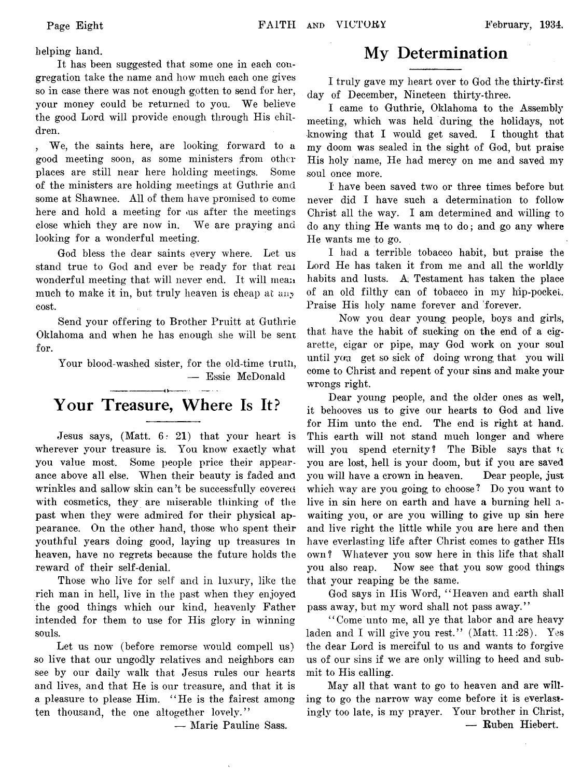helping hand.

It has been suggested that some one in each congregation take the name and how much each one gives so in case there was not enough gotten to send for her, your money could be returned to you. We believe the good Lord will provide enough through His children.

, We, the saints here, are looking forward to a good meeting soon, as some ministers from other places are still near here holding meetings. Some of the ministers are holding meetings at Guthrie and some at Shawnee. All of them have promised to come here and hold a meeting for us after the meetings close which they are now in. We are praying and looking for a wonderful meeting.

God bless the dear saints every where. Let us stand true to God and ever be ready for that real wonderful meeting that will never end. It will mean much to make it in, but truly heaven is cheap at *any* cost.

Send your offering to Brother Pruitt at Guthrie Oklahoma and when he has enough she will be sent for.

Your blood-washed sister, for the old-time truth, — Essie McDonald

## **Your Treasure, Where Is It?**

Jesus says, (Matt. 6: 21) that your heart is wherever your treasure is. You know exactly what you value most. Some people price their appearance above all else. When their beauty is faded and wrinkles and sallow skin can't be successfully covered with cosmetics, they are miserable thinking of the past when they were admired for their physical appearance. On the other hand, those who spent their youthful years doing good, laying up treasures in heaven, have no regrets because the future holds the reward of their self-denial.

Those who live for self and in luxury, like the rich man in hell, live in the past when they enjoyed the good things which our kind, heavenly Father intended for them to use for His glory in winning souls.

Let us now (before remorse would compell us) so live that our ungodly relatives and neighbors can see by our daily walk that Jesus rules our hearts and lives, and that He is our treasure, and that it is a pleasure to please Him. " He is the fairest among ten thousand, the one altogether lovely."

'— Marie Pauline Sass.

## **My Determination**

I truly gave my heart over to God the thirty-first day of December, Nineteen thirty-three.

I came to Guthrie, Oklahoma to the Assembly meeting, which was held during, the holidays, not knowing that I would get saved. I thought that my doom was sealed in the sight of God, but praise His holy name, He had mercy on me and saved my soul once more.

I have been saved two or three times before but never did I have such a determination to follow Christ all the way. I am determined and willing to do any thing  $He$  wants me to do; and go any where He wants me to go.

I had a terrible tobacco habit, but praise the Lord He has taken it from me and all the worldly habits and lusts. A; Testament has taken the place of an old filthy can of tobacco in my hip-pockei. Praise His holy name forever and forever.

Now you dear young people, boys and girls, that have the habit of sucking on the end of a cigarette, cigar or pipe, may God work on your soul until yau get so sick of doing wrong that you will come to Christ and repent of your sins and make your wrongs right.

Dear young people, and the older ones as well, it behooves us to give our hearts to God and live for Him unto the end. The end is right at hand. This earth will not stand much longer and where will you spend eternity? The Bible says that  $\pi$ you are lost, hell is your doom, but if you are saved you will have a crown in heaven. Dear people, just which way are you going to choose ? Do you want to live in sin here on earth and have a burning hell awaiting you, or are you willing to give up sin here and live right the little while you are here and then have everlasting life after Christ comes to gather His own? Whatever you sow here in this life that shall you also reap. Now see that you sow good things that your reaping be the same.

God says in His Word, " Heaven and earth shall pass away, but my word shall not pass away."

" Come unto me, all ye that labor and are heavy laden and I will give you rest." (Matt. 11:28). Yes the dear Lord is merciful to us and wants to forgive us of our sins if we are only willing to heed and submit to His calling.

May all that want to go to heaven and are willing to go the narrow way come before it is everlastingly too late, is my prayer. Your brother in Christ, — Ruben Hiebert.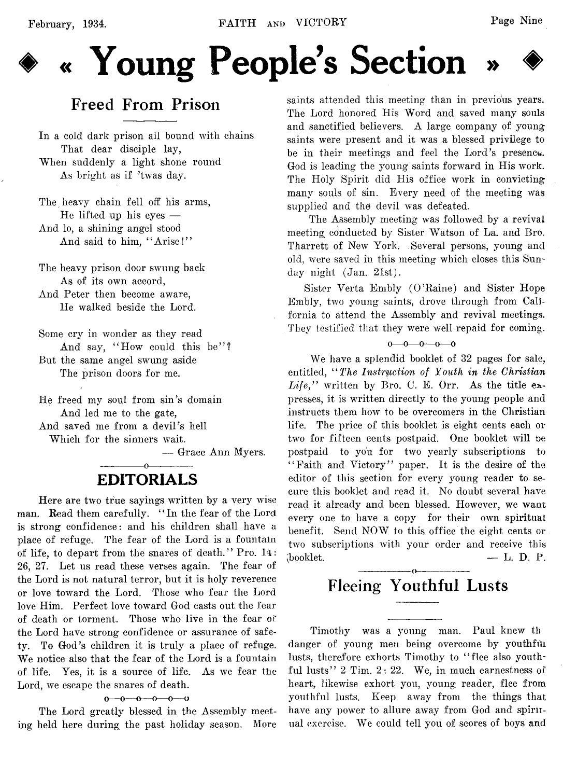

# **♦ « Young People's Section » ♦**

## **Freed From Prison**

In a cold dark prison all bound with chains That dear disciple lay, When suddenly a light shone round As bright as if 'twas day.

The heavy chain fell off his arms, He lifted up his eyes — And lo, a shining angel stood And said to him, "Arise!"

The heavy prison door swung back As of its own accord,

And Peter then become aware, He walked beside the Lord.

Some cry in wonder as they read And say, "How could this be"? But the same angel swung aside The prison doors for me.

He freed my soul from sin's domain And led me to the gate, And saved me from a devil's hell Which for the sinners wait.

— Grace Ann Myers.

## EDITORIALS

Here are two true sayings written by a very wise man. Read them carefully. " In the fear of the Lord is strong confidence: and his children shall have a place of refuge. The fear of the Lord is a fountain of life, to depart from the snares of death." Pro. 14: 26, 27. Let us read these verses again. The fear of the Lord is not natural terror, but it is holy reverence or love toward the Lord. Those who fear the Lord love Him. Perfect love toward God casts out the fear of death or torment. Those who live in the fear of the Lord have strong confidence or assurance of safety. To God's children it is truly a place of refuge. We notice also that the fear of the Lord is a fountain of life. Yes, it is a source of life. As we fear the Lord, we escape the snares of death.

 $0 - 0 - 0 - 0 - 0$ 

The Lord greatly blessed in the Assembly meeting held here during the past holiday season. More

saints attended this meeting than in previous years. The Lord honored His Word and saved many souls and sanctified believers. A large company of young saints were present and it was a blessed privilege to be in their meetings and feel the Lord's presence. God is leading the young saints forward in His work. The Holy Spirit did His office work in convicting many souls of sin. Every need of the meeting was supplied and the devil was defeated.

The Assembly meeting was followed by a revival meeting conducted by Sister Watson of La. and Bro. Tharrett of New York. Several persons, young and old, were saved in this meeting which closes this Sum day night (Jan. 21st).

Sister Verta Embly (O 'Raine) and Sister Hope Embly, two young saints, drove through from California to attend the Assembly and revival meetings. They testified that they were well repaid for coming.

 $0 - 0 - 0 - 0$ 

We have a splendid booklet of 32 pages for sale, entitled, *" The Instruction of Youth in the Christian Life,"* written by Bro. C. E. Orr. As the title expresses, it is written directly to the young people and instructs them how to be overcomers in the Christian life. The price of this booklet is eight cents each or two for fifteen cents postpaid. One booklet will be postpaid to you for two yearly subscriptions to "Faith and Victory" paper. It is the desire of the editor of this section for every young reader to secure this booklet and read it. No doubt several have read it already and been blessed. However, we want every one to have a copy for their own spiritual benefit. Send NOW to this office the eight cents or two subscriptions with your order and receive this  $\phi$  booklet.  $\qquad \qquad \qquad$  L. D. P.

## Fleeing Youthful Lusts

Timothy was a young man. Paul knew th danger of young men being overcome by youthful lusts, therefore exhorts Timothy to " flee also youthful lusts" 2 Tim. 2: 22. We, in much earnestness of heart, likewise exhort you, young reader, flee from youthful lusts. Keep away from the things that have any power to allure away from God and spiritual exercise. We could tell you of scores of boys and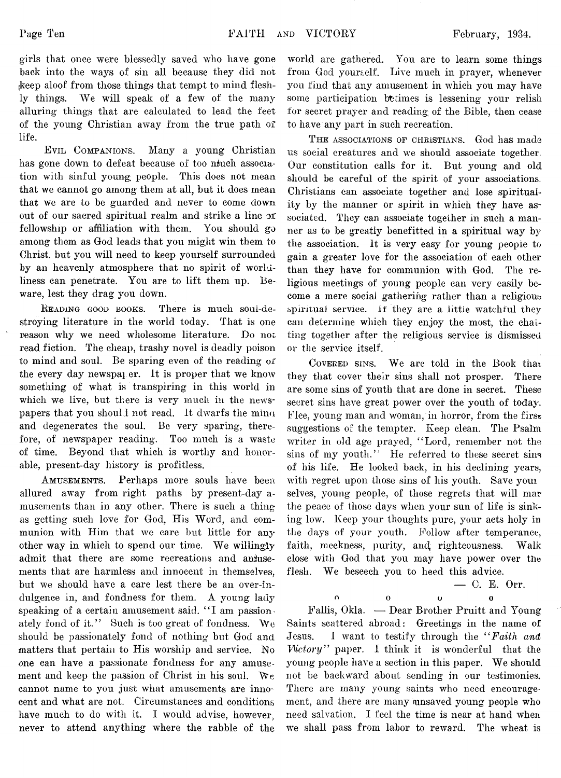girls that once were blessedly saved who have gone back into the ways of sin all because they did not (keep aloof from those things that tempt to mind fleshly things. We will speak of a few of the many alluring things that are calculated to lead the feet of the young Christian away from the true path of life.

**E vil Companions.** Many a young Christian has gone down to defeat because of too niuch association with sinful young people. This does not mean that we cannot go among them at all, but it does mean that we are to be guarded and never to come down out of our sacred spiritual realm and strike a line or fellowship or affiliation with them. You should go among them as God leads that you might win them to Christ, but you will need to keep yourself surrounded by an heavenly atmosphere that no spirit of worldliness can penetrate. You are to lift them up. Beware, lest they drag you down.

**Reading good books.** There is much soui-destroying literature in the world today. That is one reason why we need wholesome literature. Do not read fiction. The cheap, trashy novel is deadly poison to mind and soul. Be sparing even of the reading of the every day newspaper. It is proper that we know something of what is transpiring in this world in which we live, but there is very much in the newspapers that you should not read. It dwarfs the mina and degenerates the soul. Be very sparing, therefore, of newspaper reading. Too much is a waste of time. Beyond that which is worthy and honorable, present-day history is profitless.

**A musements.** Perhaps more souls have been allured away from right paths by present-day amusements than in any other. There is such a thing as getting such love for God, His Word, and communion with Him that we care but little for any other way in which to spend our time. We willingly admit that there are some recreations and aniusements that are harmless and innocent in themselves, but we should have a care lest there be an over-indulgence in, and fondness for them. A young lady speaking of a certain amusement said. "I am passionately fond of it." Such is too great of fondness. We should be passionately fond of nothing but God and matters that pertain to His worship and service. No one can have a passionate fondness for any amusement and keep the passion of Christ in his soul. We cannot name to you just what amusements are innocent and what are not. Circumstances and conditions have much to do with it. I would advise, however, never to attend anything where the rabble of the

world are gathered. You are to learn some things from God yourself. Live much in prayer, whenever you find that any amusement in which you may have some participation betimes is lessening your relish for secret prayer and reading of the Bible, then cease to have any part in such recreation.

**T he associations of Christians.** God has made us social creatures and we should associate together. Our constitution calls for it. But young and old should be careful of the spirit of your associations. Christians can associate together and lose spirituality by the manner or spirit in which they have associated. They can associate together in such a manner as to be greatly benefitted in a spiritual way by the association. It is very easy for young people to gain a greater love for the association of each other than they have for communion with God. The religious meetings of young people can very easily become a mere social gathering rather than a religious spiritual service. If they are a little watchful they can determine which they enjoy the most, the chatting together after the religious service is dismissed or the service itself.

**Covered sins.** We are told in the Book that they that cover their sins shall not prosper. There are some sins of youth that are done in secret. These secret sins have great power over the youth of today. Flee, young man and woman, in horror, from the first suggestions of the tempter. Keep clean. The Psalm writer in old age prayed, " Lord, remember not the sins of my youth." He referred to these secret sins of his life. He looked back, in his declining years, with regret upon those sins of his youth. Save youi selves, young people, of those regrets that will mar the peace of those days when your sun of life is sinking low. Keep your thoughts pure, your acts holy in the days of your youth. Follow after temperance, faith, meekness, purity, and righteousness. Walk close with God that you may have power over the flesh. We beseech you to heed this advice.

— C. E. Orr.

n 0 O O

Faliis, Okla. — Dear Brother Pruitt and Young Saints scattered abroad: Greetings in the name of Jesus. I want to testify through the *" Faith and Victory"* paper. I think it is wonderful that the young people have a section in this paper. We should not be backward about sending in our testimonies. There are many young saints who need encouragement, and there are many unsaved young people who need salvation. I feel the time is near at hand when we shall pass from labor to reward. The wheat is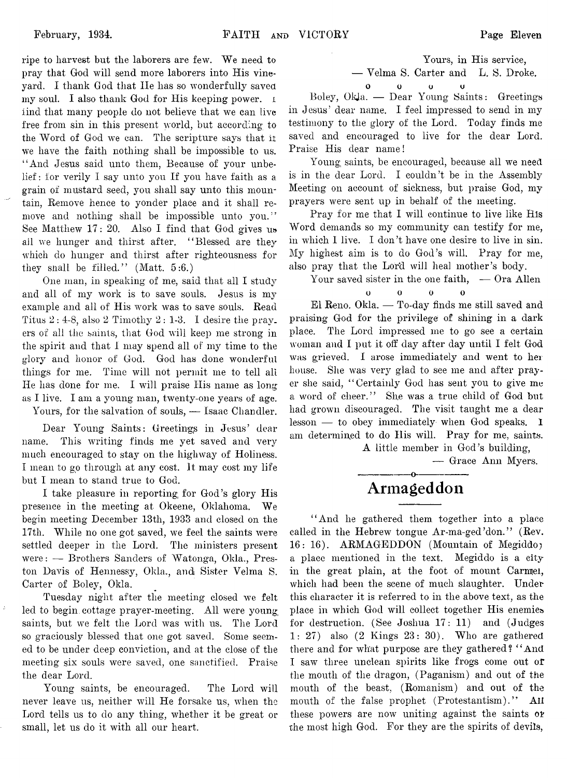ripe to harvest but the laborers are few. We need to pray that God will send more laborers into His vineyard. I thank God that He has so wonderfully saved my soul. I also thank God for His keeping power, i iind that many people do not believe that we can live free from sin in this present world, but according to the Word of God we can. The scripture says that it we have the faith nothing shall be impossible to us. ' 'And Jesus said unto them, Because of your unbelief : for verily I say unto you If you have faith as a grain of mustard seed, you shall say unto this mountain, Remove hence to yonder place and it shall remove and nothing shall be impossible unto you." See Matthew 17: 20. Also I find that God gives u» ail we hunger and thirst after. " Blessed are they which do hunger and thirst after righteousness for they snall be filled." (Matt.  $5:6$ .)

One man, in speaking of me, said that all I study and all of my work is to save souls. Jesus is my example and all of His work was to save souls. Read Titus  $2: 4-8$ , also  $2$  Timothy  $2: 1-3$ . I desire the prayers of all the saints, that God will keep me strong in the spirit and that I may spend all of my time to the glory and honor of God. God has done wonderful things for me. Time will not permit me to tell all He has done for me. I will praise His name as long as I live. I am a young man, twenty-one years of age.

Yours, for the salvation of souls, — Isaac Chandler.

Dear Young Saints: Greetings in Jesus' dear name. This writing finds me yet saved and very much encouraged to stay on the highway of Holiness. I mean to go through at any cost, it may cost my life but I mean to stand true to God.

I take pleasure in reporting for God's glory His presence in the meeting at Okeene, Oklahoma. We begin meeting December 13th, 1933 and closed on the 17th. While no one got saved, we feel the saints were settled deeper in the Lord. The ministers present were: — Brothers Sanders of Watonga, Okla., Preston Davis of Hennessy, Okla,, and Sister Velma S. Carter of Boley, Okla.

Tuesday night after the meeting closed we felt led to begin cottage prayer-meeting. All were young saints, but we felt the Lord was with us. The Lord so graciously blessed that one got saved. Some seemed to be under deep conviction, and at the close of the meeting six souls were saved, one sanctified. Praise the dear Lord.

Young saints, be encouraged. The Lord will never leave us, neither will He forsake us, when the Lord tells us to do any thing, whether it be great or small, let us do it with all our heart.

Yours, in His service, — Velma S. Carter and L. S. Droke. o o u u

Boley, Okja. — Dear Young Saints: Greetings in Jesus' dear name. I feel impressed to send in my testimony to the glory of the Lord. Today finds me saved and encouraged to live for the dear Lord. Praise His dear name!

Young saints, be encouraged, because all we need is in the dear Lord. I couldn't be in the Assembly Meeting on account of sickness, but praise God, my prayers were sent up in behalf of the meeting.

Pray for me that I will continue to live like His Word demands so my community can testify for me, in which I live. I don't have one desire to live in sin. My highest aim is to do God's will. Pray for me, also pray that the Lord will heal mother's body.

Your saved sister in the one faith,  $\sim$  Ora Allen  $0$  0 0  $\Omega$ 

El Reno. Okla. — To-day finds me still saved and praising God for the privilege of shining in a dark place. The Lord impressed me to go see a certain woman and I put it off day after day until I felt God was grieved. I arose immediately and went to her house. She was very glad to see me and after prayer she said, " Certainly God has sent you to give me a word of cheer." She was a true child of God but had grown discouraged. The visit taught me a dear lesson — to obey immediately when God speaks. 1 am determined to do His will. Pray for me, saints.

A little member in God's building,

— Grace Ann Myers.

## ---------------- o---------------- \* **Armageddon**

" And he gathered them together into a place called in the Hebrew tongue Ar-ma-ged'don." (Rev. 16: 16). ARMAGEDDON (Mountain of Megiddoj a place mentioned in the text. Megiddo is a city in the great plain, at the foot of mount Carmel, which had been the scene of much slaughter. Under this character it is referred to in the above text, as the place in which God will collect together His enemies for destruction. (See Joshua 17: 11) and (Judges 1: 27) also (2 Kings 23: 30). Who are gathered there and for what purpose are they gathered? " And I saw three unclean spirits like frogs come out of the mouth of the dragon, (Paganism) and out of the mouth of the beast, (Romanism) and out of the mouth of the false prophet (Protestantism)." All these powers are now uniting against the saints or the most high God. For they are the spirits of devils,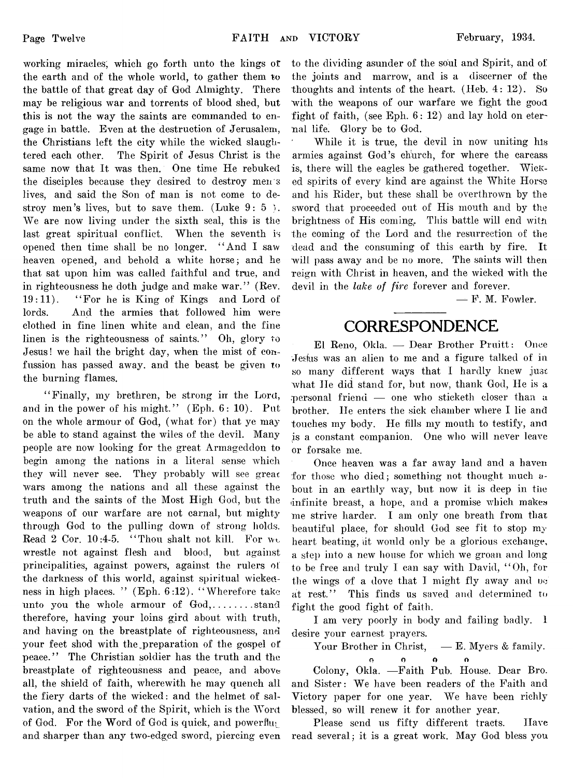working miracles, which go forth unto the kings o*t* the earth and of the whole world, to gather them to the battle of that great day of God Almighty. There may be religious war and torrents of blood shed, but this is not the way the saints are commanded to engage in battle. Even at the destruction of Jerusalem, the Christians left the city while the wicked slaughtered each other. The Spirit of Jesus Christ is the same now that It was then. One time He rebuked the disciples because they desired to destroy men s lives, and said the Son of man is not come to destroy men's lives, but to save them. (Luke  $9:5$ ). We are now living under the sixth seal, this is the last great spiritual conflict. When the seventh is opened then time shall be no longer. " And I saw heaven opened, and behold a white horse; and he that sat upon him was called faithful and true, and in righteousness he doth judge and make war." (Rev.  $19:11$ ). "For he is King of Kings and Lord of lords. And the armies that followed him were clothed in fine linen white and clean, and the fine linen is the righteousness of saints." Oh, glory to Jesus! we hail the bright day, when the mist of confussion has passed away, and the beast be given to the burning flames.

" Finally, my brethren, be strong in the Lord, and in the power of his might." (Eph. 6: 10). Put on the whole armour of God, (what for) that ye may be able to stand against the wiles of the devil. Many people are now looking for the great Armageddon to begin among the nations in a literal sense which they will never see. They probably will see great wars among the nations and all these against the truth and the saints of the Most High God, but the weapons of our warfare are not carnal, but mighty through God to the pulling down of strong holds. Read 2 Cor. 10:4-5. "Thou shalt not kill. For we wrestle not against flesh and blood, but against principalities, against powers, against the rulers ol the darkness of this world, against spiritual wickedness in high places. " (Eph. 6:12). "Wherefore take unto you the whole armour of God,........stand therefore, having your loins gird about with truth, and having on the breastplate of righteousness, and your feet shod with the preparation of the gospel of peace." The Christian soldier has the truth and the breastplate of righteousness and peace, and above all, the shield of faith, wherewith he may quench all the fiery darts of the wicked: and the helmet of salvation, and the sword of the Spirit, which is the Word of God. For the Word of God is quick, and powerflug and sharper than any two-edged sword, piercing even

to the dividing asunder of the soul and Spirit, and of the joints and marrow, and is a discerner of the thoughts and intents of the heart. (Heb. 4: 12). So with the weapons of our warfare we fight the good fight of faith, (see Eph. 6: 12) and lay hold on eternal life. Glory be to God.

While it is true, the devil in now uniting his armies against God's church, for where the carcass is, there will the eagles be gathered together. Wicked spirits of every kind are against the White Horse and his Rider, but these shall be overthrown by the sword that proceeded out of His mouth and by the brightness of His coming. This battle will end with the coming of the Lord and the resurrection of the dead and the consuming of this earth by fire. It will pass away and be no more. The saints will then reign with Christ in heaven, and the wicked with the devil in the *lake of fire* forever and forever.

— F. M. Fowler.

## **CORRESPONDENCE**

El Reno, Okla. — Dear Brother Pruitt: Once Jedus was an alien to me and a figure talked of in so many different ways that I hardly knew just what lie did stand for, but now, thank God, He is a .personal friend — one who sticketh closer than a brother. He enters the sick chamber where I lie and touches my body. He tills my mouth to testify, and is a constant companion. One who will never leave or forsake me.

Once heaven was a far away land and a haven for those who died; something not thought much about in an earthly way, but now it is deep in the infinite breast, a hope, and a promise which makes me strive harder. I am only one breath from that beautiful place, for should God see fit to stop my heart beating, it would only be a glorious exchange, a step into a new house for which we groan and long to be free and truly I can say with David, " Oh, for the wings of a dove that I might fly away and oc at rest." This finds us saved and determined to fight the good fight of faith.

I am very poorly in body and failing badly. 1 desire your earnest prayers.

Your Brother in Christ,  $\quad$  E. Myers & family.

**Cj O O ft** Colony, Okla. — Faith Pub. House. Dear Bro. and Sister: We have been readers of the Faith and Victory paper for one year. We have been richly blessed, so will renew it for another year.

Please send us fifty different tracts. Have read several; it is a great work. May God bless you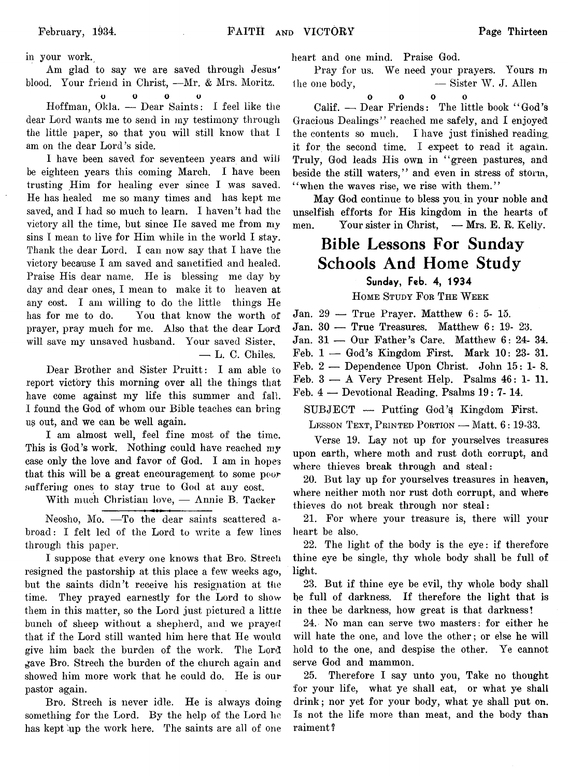in your work.

Am glad to say we are saved through Jesus' blood. Your friend in Christ, — Mr. & Mrs. Moritz.

**O O** 0 **o**

 $\mathcal{L}^{\text{max}}_{\text{max}}$  and  $\mathcal{L}^{\text{max}}_{\text{max}}$ 

Iioffman, Okla. — Dear Saints: I feel like the dear Lord wants me to send in my testimony through the little paper, so that you will still know that I am on the dear Lord's side.

I have been saved for seventeen years and will be eighteen years this coming March. I have been trusting Him for healing ever since I was saved. He has healed me so many times and has kept me saved, and I had so much to learn. I haven't had the victory all the time, but since IIe saved me from my sins I mean to live for Him while in the world I stay. Thank the dear Lord. I can now say that I have the victory because I am saved and sanctified and healed. Praise His dear name. He is blessing me day by day and dear ones, I mean to make it to heaven at any cost. I am willing to do the little things He has for me to do. You that know the worth of prayer, pray much for me. Also that the dear Lord will save my unsaved husband. Your saved Sister, — L. C. Chiles.

Dear Brother and Sister Pruitt: I am able to report victory this morning over all the things that have come against my life this summer and fall. I found the God of whom our Bible teaches can bring us out, and we can be well again.

I am almost well, feel fine most of the time. This is God's work. Nothing could have reached my case only the love and favor of God. I am in hopes that this will be a great encouragement to some poor suffering ones to stay true to God at any cost.

With much Christian love, — Annie B. Tacker

Neosho, Mo. — To the dear saints scattered abroad: I felt led of the Lord to write a few lines through this paper.

I suppose that every one knows that Bro. Strech resigned the pastorship at this place a few weeks ago, but the saints didn't receive his resignation at the time. They prayed earnestly for the Lord to show them in this matter, so the Lord just pictured a little bunch of sheep without a shepherd, and we prayed that if the Lord still wanted him here that He would give him back the burden of the work. The Lord gave Bro. Strech the burden of the church again and showed him more work that he could do. He is our pastor again.

Bro. Strech is never idle. He is always doing something for the Lord. By the help of the Lord he has kept 'up the work here. The saints are all of one

heart and one mind. Praise God.

Pray for us. We need your prayers. Yours m the one body,  $-$  Sister W. J. Allen

0 0 0 0

Calif. — Dear Friends: The little book " God's Gracious Dealings" reached me safely, and I enjoyed the contents so much. I have just finished reading, it for the second time. I expect to read it again. Truly, God leads His own in "green pastures, and beside the still waters," and even in stress of storm, " when the waves rise, we rise with them."

May God continue to bless you in your noble and unselfish efforts for His kingdom in the hearts of men. Your sister in Christ, — Mrs. E. R. Kelly.

## **Bible Lessons For Sunday Schools And Home Study**

## **Sunday, Feb. 4, 1934**

**H ome Study F or T he W eek**

Jan. 29 — True Prayer. Matthew 6: 5- 15.

Jan. 30 — True Treasures. Matthew 6: 19- 23.

Jan. 31 — Our Father's Care. Matthew 6: 24- 34.

Feb. 1 — God's Kingdom First. Mark 10: 23- 31.

Feb. 2 — Dependence Upon Christ. John 15: 1- 8.

Feb. 3 — A Very Present Help. Psalms 46: 1- 11.

Feb. 4 — Devotional Reading. Psalms 19: 7- 14.

 $SUBJECT$  — Putting God's Kingdom First.

**Lesson Text, P rinted Portion** — Matt. 6: 19-33.

Verse 19. Lay not up for yourselves treasures upon earth, where moth and rust doth corrupt, and where thieves break through and steal:

20. But lay up for yourselves treasures in heaven, where neither moth nor rust doth corrupt, and where thieves do not break through nor steal:

21. For where your treasure is, there will your heart be also.

22. The light of the body is the eye: if therefore thine eye be single, thy whole body shall be full of light.

23. But if thine eye be evil, thy whole body shall be full of darkness. If therefore the light that is in thee be darkness, how great is that darkness!

24. No man can serve two masters: for either he will hate the one, and love the other; or else he will hold to the one, and despise the other. Ye cannot serve God and mammon.

25. Therefore I say unto you, Take no thought for your life, what ye shall eat, or what ye shall drink; nor yet for your body, what ye shall put on. Is not the life more than meat, and the body than raiment ?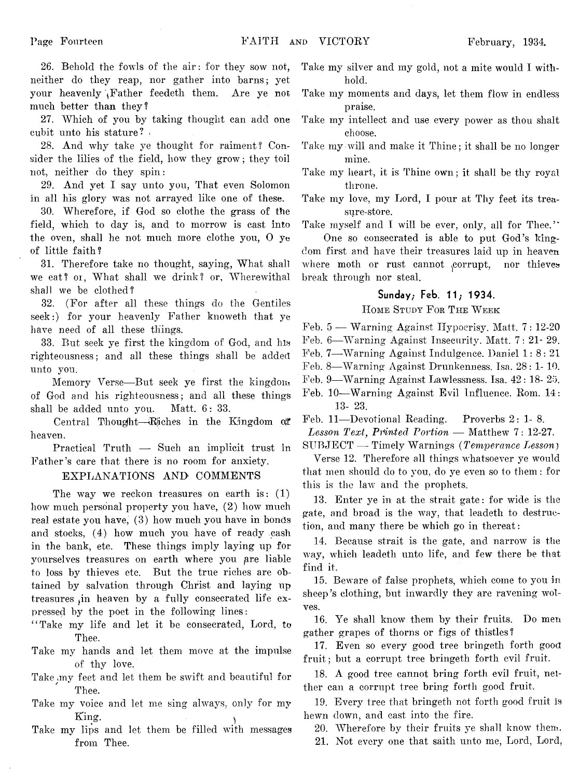26. Behold the fowls of the air: for they sow not, neither do they reap, nor gather into barns; yet your heavenly Father feedeth them. Are ye not much better than they?

27. Which of you by taking thought can add one cubit unto his stature?

28. And why take ye thought for raiment? Consider the lilies of the field, how they grow; they toil not, neither do they spin:

29. And yet I say unto you, That even Solomon in all his glory was not arrayed like one of these.

30. Wherefore, if God so clothe the grass of the field, which to day is, and to morrow is cast into the oven, shall he not much more clothe you, 0 ye of little faith?

31. Therefore take no thought, saying, What shall we eat? or, What shall we drink? or, Wherewithal shall we be clothed?

32. (For after all these things do the Gentiles seek:) for your heavenly Father knoweth that ye have need of all these things.

33. But seek ye first the kingdom of God, and his righteousness; and all these things shall be added unto you.

Memory Verse— But seek ye first the kingdom of God and his righteousness; and all these things shall be added unto you. Matt. 6: 33.

Central Thought—Riches in the Kingdom of heaven.

Practical Truth — Such an implicit trust in Father's care that there is no room for anxiety.

## EXPLANATIONS AND COMMENTS

The way we reckon treasures on earth is: (1) how much personal property you have, (2) how much real estate you have, (3) how much you have in bonds and stocks, (4) how much you have of ready cash in the bank, etc. These things imply laying up for yourselves treasures on earth where you are liable to loss by thieves etc. But the true riches are obtained by salvation through Christ and laying up treasures in heaven by a fully consecrated life expressed by the poet in the following lines:

- " Take my life and let it be consecrated, Lord, to Thee.
- Take my hands and let them move at the impulse of thy love.
- Take .my feet and let them be swift and beautiful for Thee.
- Take my voice and let me sing always, only for my King. ^
- Take my lips and let them be filled with messages from Thee.
- Take my silver and my gold, not a mite would I withhold.
- Take my moments and days, let them flow in endless praise.
- Take my intellect and use every power as thou shalt choose.
- Take my will and make it Thine; it shall be no longer mine.
- Take my heart, it is Thine own; it shall be thy royal throne.
- Take my love, my Lord, I pour at Thy feet its treasure-store.

Take myself and I will be ever, only, all for Thee."

One so consecrated is able to put God's kingdom first and have their treasures laid up in heaven where moth or rust cannot corrupt, nor thieves break through nor steal.

## **Sunday; Feb. 11; 1934.**

#### **H ome Study F or T he W eek**

Feb. 5 — Warning Against Hypocrisy. Matt. 7: 12-20

Feb. 6— Warning Against Insecurity. Matt. 7: 21- 29.

- Feb. 7— Warning Against Indulgence. Daniel 1: 8: 21
- Feb. 8— Warning Against Drunkenness. Isa. 28: 1- 10.
- Feb. 9— Warning Against Lawlessness. Isa. 42: 18- 25.
- Feb. 10—Warning Against Evil Influence. Rom. 14: 13- 23.

Feb. 11— Devotional Reading. Proverbs 2:1-8.

Lesson Text, Printed Portion — Matthew 7: 12-27.

SUBJECT — Timely Warnings *(Temperance Lesson*)

Verse 12. Therefore all things whatsoever ye would that men should do to you, do ye even so to them: for this is the law and the prophets.

13. Enter ye in at the strait gate: for wide is the gate, and broad is the way, that leadeth to destruction, and many there be which go in thereat:

14. Because strait is the gate, and narrow is the way, which leadeth unto life, and few there be that find it.

15. Beware of false prophets, which come to you in sheep's clothing, but inwardly they are ravening wolves.

16. Ye shall know them by their fruits. Do men gather grapes of thorns or figs of thistles?

17. Even so every good tree bringeth forth good fruit; but a corrupt tree bringeth forth evil fruit.

18. A good tree cannot bring forth evil fruit, neither can a corrupt tree bring forth good fruit.

19. Every tree that bringeth not forth good fruit is hewn down, and cast into the fire.

20. Wherefore by their fruits ye shall know them.

21. Not every one that saith unto me, Lord, Lord,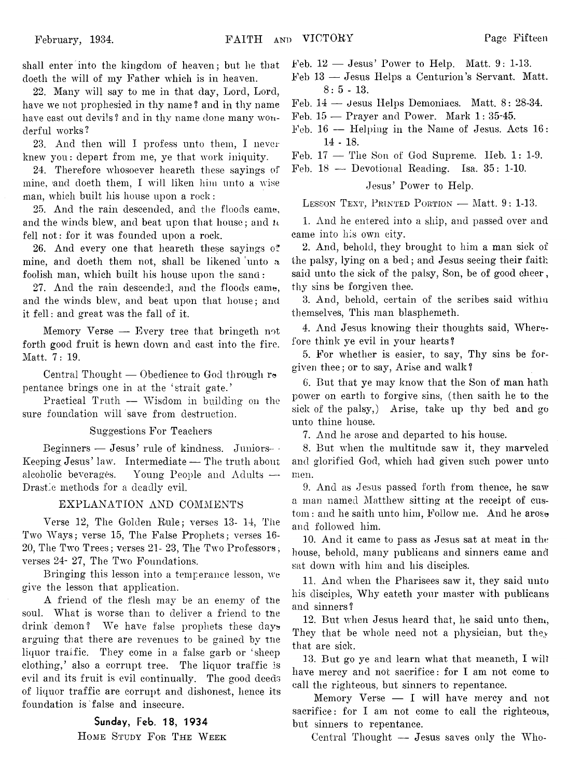shall enter into the kingdom of heaven; but he that doeth the will of my Father which is in heaven.

22. Many will say to me in that day, Lord, Lord, have we not prophesied in thy name ? and in thy name have cast out devils? and in thy name done many wonderful works?

23. And then will I profess unto them, I never knew you: depart from me, ye that work iniquity.

24. Therefore whosoever heareth these sayings of mine, and doeth them, I will liken him unto a wise man, which built his house upon a rock:

25. And the rain descended, and the floods came, and the winds blew, and beat upon that house; and *h* fell not: for it was founded upon a rock.

26. And every one that heareth these sayings of mine, and doeth them not, shall be likened unto a foolish man, which built his house upon the sand:

27. And the rain descended, and the floods came, and the winds blew, and beat upon that house; and it fell: and great was the fall of it.

Memory Verse — Every tree that bringeth not forth good fruit is hewn down and cast into the fire. Matt. 7: 19.

Central Thought  $-$  Obedience to God through re pentance brings one in at the 'strait gate.'

Practical Truth — Wisdom in building on the sure foundation will save from destruction.

#### Suggestions For Teachers

Beginners — Jesus' rule of kindness. Juniors- -Keeping Jesus' law. Intermediate — The truth about alcoholic beverages. Young People and Adults — Drastic methods for a deadly evil.

#### EXPLANATION AND COMMENTS

Verse 12, The Golden Rule; verses 13- 14, The Two Ways; verse 15, The False Prophets; verses 16- 20, The Two Trees; verses 21- 23, The Two Professors, verses 24- 27, The Two Foundations.

Bringing this lesson into a temperance lesson, we give the lesson that application.

A friend of the flesh may be an enemy of the soul. What is worse than to deliver a friend to the drink demon? We have false prophets these days arguing that there are revenues to be gained by the liquor traffic. They come in a false garb or 'sheep clothing,' also a corrupt tree. The liquor traffic is evil and its fruit is evil continually. The good deeds of liquor traffic are corrupt and dishonest, hence its foundation is false and insecure.

#### **Sunday,** Feb. 18, 1934

**H ome Study F or T he W eek**

 $Feb. 12$  — Jesus' Power to Help. Matt. 9: 1-13.

Feb 13 — Jesus Helps a Centurion's Servant. Matt. 8: 5 - 13.

Feb. 14 — Jesus Helps Demoniacs. Matt. 8: 28-34.

- Feb. 15 Prayer and Power. Mark 1: 35-45.
- Feb. 16 Helping in the Name of Jesus. Acts 16: 14 - 18.

Feb. 17 — The Son of God Supreme. Ileb. 1: 1-9.

Feb. 18 — Devotional Reading. Isa. 35: 1-10.

## Jesus' Power to Help.

**Lesson Text, Printed P ortion** — Matt. 9: 1-13.

1. And he entered into a ship, and passed over and came into his own city.

2. And, behold, they brought to him a man sick of the palsy, lying on a bed; and Jesus seeing their faith said unto the sick of the palsy, Son, be of good cheer, thy sins be forgiven thee.

3. And, behold, certain of the scribes said within themselves, This man blasphemeth.

4. And Jesus knowing their thoughts said, Wherefore think ye evil in your hearts?

5. For whether is easier, to say, Thy sins be forgiven thee; or to say, Arise and walk ?

6. But that ye may know that the Son of man hath power on earth to forgive sins, (then saith he to the sick of the palsy,) Arise, take up thy bed and go unto thine house.

7. And he arose and departed to his house.

8. But when the multitude saw it, they marveled and glorified God, which had given such power unto men.

9. And as Jesus passed forth from thence, he saw a man named Matthew sitting at the receipt of custom : and he saith unto him, Follow me. And he arose and followed him.

10. And it came to pass as Jesus sat at meat in the house, behold, many publicans and sinners came and sat down with him and his disciples.

11. And when the Pharisees saw it, they said unto his disciples, Why eateth your master with publicans and sinners?

12. But when Jesus heard that, he said unto them, They that be whole need not a physician, but they that are sick.

13. But go ye and learn what that meaneth, I will have mercy and not sacrifice: for I am not come to call the righteous, but sinners to repentance.

Memory Verse — I will have mercy and not sacrifice: for I am not come to call the righteous, but sinners to repentance.

Central Thought — Jesus saves only the Who